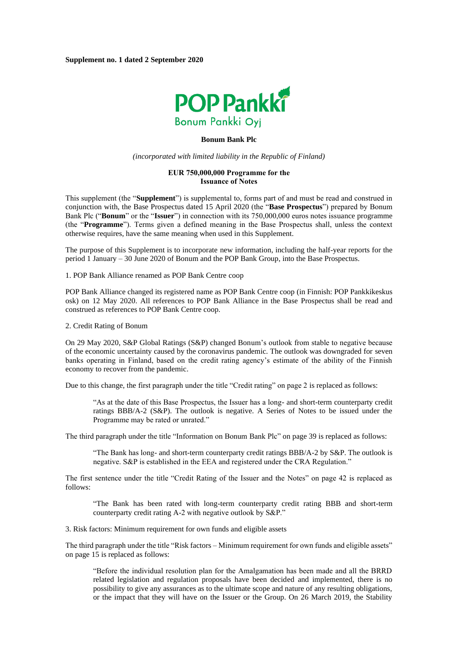

#### **Bonum Bank Plc**

*(incorporated with limited liability in the Republic of Finland)*

### **EUR 750,000,000 Programme for the Issuance of Notes**

This supplement (the "**Supplement**") is supplemental to, forms part of and must be read and construed in conjunction with, the Base Prospectus dated 15 April 2020 (the "**Base Prospectus**") prepared by Bonum Bank Plc ("**Bonum**" or the "**Issuer**") in connection with its 750,000,000 euros notes issuance programme (the "**Programme**"). Terms given a defined meaning in the Base Prospectus shall, unless the context otherwise requires, have the same meaning when used in this Supplement.

The purpose of this Supplement is to incorporate new information, including the half-year reports for the period 1 January – 30 June 2020 of Bonum and the POP Bank Group, into the Base Prospectus.

1. POP Bank Alliance renamed as POP Bank Centre coop

POP Bank Alliance changed its registered name as POP Bank Centre coop (in Finnish: POP Pankkikeskus osk) on 12 May 2020. All references to POP Bank Alliance in the Base Prospectus shall be read and construed as references to POP Bank Centre coop.

## 2. Credit Rating of Bonum

On 29 May 2020, S&P Global Ratings (S&P) changed Bonum's outlook from stable to negative because of the economic uncertainty caused by the coronavirus pandemic. The outlook was downgraded for seven banks operating in Finland, based on the credit rating agency's estimate of the ability of the Finnish economy to recover from the pandemic.

Due to this change, the first paragraph under the title "Credit rating" on page 2 is replaced as follows:

"As at the date of this Base Prospectus, the Issuer has a long- and short-term counterparty credit ratings BBB/A-2 (S&P). The outlook is negative. A Series of Notes to be issued under the Programme may be rated or unrated."

The third paragraph under the title "Information on Bonum Bank Plc" on page 39 is replaced as follows:

"The Bank has long- and short-term counterparty credit ratings BBB/A-2 by S&P. The outlook is negative. S&P is established in the EEA and registered under the CRA Regulation."

The first sentence under the title "Credit Rating of the Issuer and the Notes" on page 42 is replaced as follows:

"The Bank has been rated with long-term counterparty credit rating BBB and short-term counterparty credit rating A-2 with negative outlook by S&P."

3. Risk factors: Minimum requirement for own funds and eligible assets

The third paragraph under the title "Risk factors – Minimum requirement for own funds and eligible assets" on page 15 is replaced as follows:

"Before the individual resolution plan for the Amalgamation has been made and all the BRRD related legislation and regulation proposals have been decided and implemented, there is no possibility to give any assurances as to the ultimate scope and nature of any resulting obligations, or the impact that they will have on the Issuer or the Group. On 26 March 2019, the Stability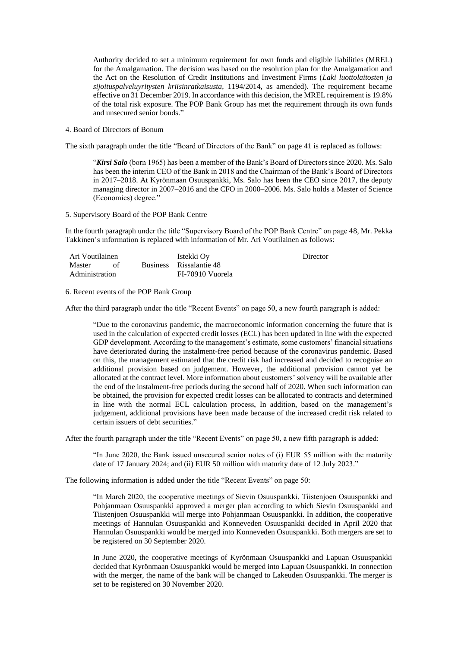Authority decided to set a minimum requirement for own funds and eligible liabilities (MREL) for the Amalgamation. The decision was based on the resolution plan for the Amalgamation and the Act on the Resolution of Credit Institutions and Investment Firms (*Laki luottolaitosten ja sijoituspalveluyritysten kriisinratkaisusta*, 1194/2014, as amended). The requirement became effective on 31 December 2019. In accordance with this decision, the MREL requirement is 19.8% of the total risk exposure. The POP Bank Group has met the requirement through its own funds and unsecured senior bonds."

4. Board of Directors of Bonum

The sixth paragraph under the title "Board of Directors of the Bank" on page 41 is replaced as follows:

"*Kirsi Salo* (born 1965) has been a member of the Bank's Board of Directors since 2020. Ms. Salo has been the interim CEO of the Bank in 2018 and the Chairman of the Bank's Board of Directors in 2017–2018. At Kyrönmaan Osuuspankki, Ms. Salo has been the CEO since 2017, the deputy managing director in 2007–2016 and the CFO in 2000–2006. Ms. Salo holds a Master of Science (Economics) degree."

5. Supervisory Board of the POP Bank Centre

In the fourth paragraph under the title "Supervisory Board of the POP Bank Centre" on page 48, Mr. Pekka Takkinen's information is replaced with information of Mr. Ari Voutilainen as follows:

| Ari Voutilainen |  |  | Istekki Ov              | Director |  |
|-----------------|--|--|-------------------------|----------|--|
| Master          |  |  | Business Rissalantie 48 |          |  |
| Administration  |  |  | FI-70910 Vuorela        |          |  |

#### 6. Recent events of the POP Bank Group

After the third paragraph under the title "Recent Events" on page 50, a new fourth paragraph is added:

"Due to the coronavirus pandemic, the macroeconomic information concerning the future that is used in the calculation of expected credit losses (ECL) has been updated in line with the expected GDP development. According to the management's estimate, some customers' financial situations have deteriorated during the instalment-free period because of the coronavirus pandemic. Based on this, the management estimated that the credit risk had increased and decided to recognise an additional provision based on judgement. However, the additional provision cannot yet be allocated at the contract level. More information about customers' solvency will be available after the end of the instalment-free periods during the second half of 2020. When such information can be obtained, the provision for expected credit losses can be allocated to contracts and determined in line with the normal ECL calculation process, In addition, based on the management's judgement, additional provisions have been made because of the increased credit risk related to certain issuers of debt securities."

After the fourth paragraph under the title "Recent Events" on page 50, a new fifth paragraph is added:

"In June 2020, the Bank issued unsecured senior notes of (i) EUR 55 million with the maturity date of 17 January 2024; and (ii) EUR 50 million with maturity date of 12 July 2023."

The following information is added under the title "Recent Events" on page 50:

"In March 2020, the cooperative meetings of Sievin Osuuspankki, Tiistenjoen Osuuspankki and Pohjanmaan Osuuspankki approved a merger plan according to which Sievin Osuuspankki and Tiistenjoen Osuuspankki will merge into Pohjanmaan Osuuspankki. In addition, the cooperative meetings of Hannulan Osuuspankki and Konneveden Osuuspankki decided in April 2020 that Hannulan Osuuspankki would be merged into Konneveden Osuuspankki. Both mergers are set to be registered on 30 September 2020.

In June 2020, the cooperative meetings of Kyrönmaan Osuuspankki and Lapuan Osuuspankki decided that Kyrönmaan Osuuspankki would be merged into Lapuan Osuuspankki. In connection with the merger, the name of the bank will be changed to Lakeuden Osuuspankki. The merger is set to be registered on 30 November 2020.